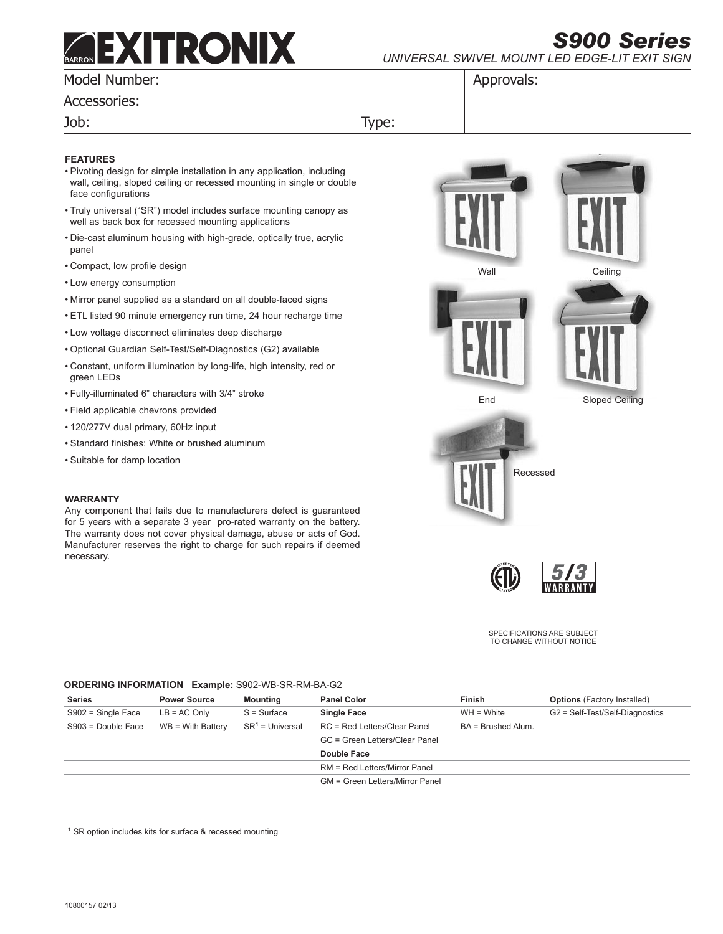# **ARRON DX**

*S900 Series universal swivel mount led edge-lit exit sign*

## Model Number:

Accessories:

Job: Type:

## **Features**

- • Pivoting design for simple installation in any application, including wall, ceiling, sloped ceiling or recessed mounting in single or double face configurations
- Truly universal ("SR") model includes surface mounting canopy as well as back box for recessed mounting applications
- • Die-cast aluminum housing with high-grade, optically true, acrylic panel
- • Compact, low profile design
- • Low energy consumption
- • Mirror panel supplied as a standard on all double-faced signs
- • ETL listed 90 minute emergency run time, 24 hour recharge time
- • Low voltage disconnect eliminates deep discharge
- • Optional Guardian Self-Test/Self-Diagnostics (G2) available
- • Constant, uniform illumination by long-life, high intensity, red or green LEDs
- • Fully-illuminated 6" characters with 3/4" stroke
- • Field applicable chevrons provided
- • 120/277V dual primary, 60Hz input
- • Standard finishes: White or brushed aluminum
- • Suitable for damp location

## **Warranty**

Any component that fails due to manufacturers defect is guaranteed for 5 years with a separate 3 year pro-rated warranty on the battery. The warranty does not cover physical damage, abuse or acts of God. Manufacturer reserves the right to charge for such repairs if deemed necessary.

Wall Ceiling End Sloped Ceiling Recessed

Approvals:

SPECIFICATIONS ARE SUBJECT TO CHANGE WITHOUT NOTICE

## **ORDERING INFORMATION Example:** S902-WB-SR-RM-BA-G2

| <b>Series</b>        | <b>Power Source</b> | <b>Mounting</b>   | <b>Panel Color</b>              | <b>Finish</b>        | <b>Options</b> (Factory Installed) |
|----------------------|---------------------|-------------------|---------------------------------|----------------------|------------------------------------|
| $S902 =$ Single Face | $LB = AC$ Only      | $S = Surface$     | <b>Single Face</b>              | $WH = White$         | G2 = Self-Test/Self-Diagnostics    |
| $S903 = Double Face$ | $WB = With Butterv$ | $SR1 =$ Universal | RC = Red Letters/Clear Panel    | $BA = Brushed Alum.$ |                                    |
|                      |                     |                   | GC = Green Letters/Clear Panel  |                      |                                    |
|                      |                     |                   | Double Face                     |                      |                                    |
|                      |                     |                   | RM = Red Letters/Mirror Panel   |                      |                                    |
|                      |                     |                   | GM = Green Letters/Mirror Panel |                      |                                    |

**<sup>1</sup>** SR option includes kits for surface & recessed mounting